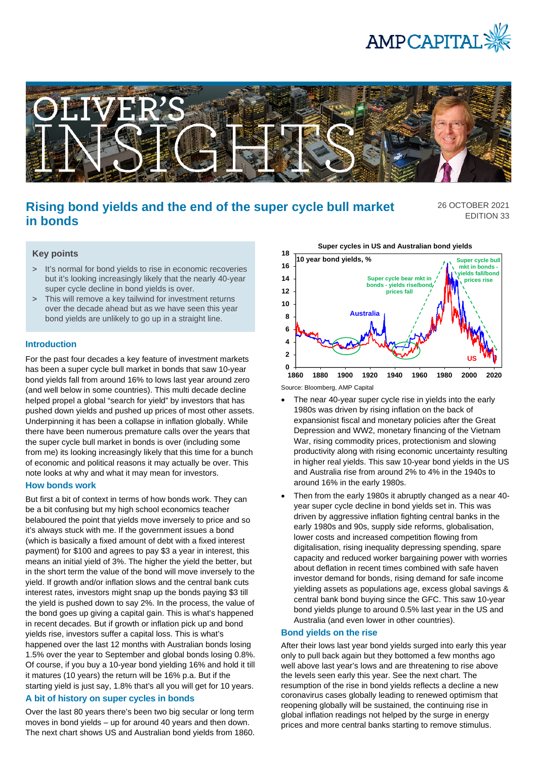



# **Rising bond yields and the end of the super cycle bull market in bonds**

26 OCTOBER 2021 EDITION 33

## **Key points**

- > It's normal for bond yields to rise in economic recoveries but it's looking increasingly likely that the nearly 40-year super cycle decline in bond yields is over.
- > This will remove a key tailwind for investment returns over the decade ahead but as we have seen this year bond yields are unlikely to go up in a straight line.

#### **Introduction**

For the past four decades a key feature of investment markets has been a super cycle bull market in bonds that saw 10-year bond yields fall from around 16% to lows last year around zero (and well below in some countries). This multi decade decline helped propel a global "search for yield" by investors that has pushed down yields and pushed up prices of most other assets. Underpinning it has been a collapse in inflation globally. While there have been numerous premature calls over the years that the super cycle bull market in bonds is over (including some from me) its looking increasingly likely that this time for a bunch of economic and political reasons it may actually be over. This note looks at why and what it may mean for investors.

#### **How bonds work**

But first a bit of context in terms of how bonds work. They can be a bit confusing but my high school economics teacher belaboured the point that yields move inversely to price and so it's always stuck with me. If the government issues a bond (which is basically a fixed amount of debt with a fixed interest payment) for \$100 and agrees to pay \$3 a year in interest, this means an initial yield of 3%. The higher the yield the better, but in the short term the value of the bond will move inversely to the yield. If growth and/or inflation slows and the central bank cuts interest rates, investors might snap up the bonds paying \$3 till the yield is pushed down to say 2%. In the process, the value of the bond goes up giving a capital gain. This is what's happened in recent decades. But if growth or inflation pick up and bond yields rise, investors suffer a capital loss. This is what's happened over the last 12 months with Australian bonds losing 1.5% over the year to September and global bonds losing 0.8%. Of course, if you buy a 10-year bond yielding 16% and hold it till it matures (10 years) the return will be 16% p.a. But if the starting yield is just say, 1.8% that's all you will get for 10 years.

### **A bit of history on super cycles in bonds**

Over the last 80 years there's been two big secular or long term moves in bond yields – up for around 40 years and then down. The next chart shows US and Australian bond yields from 1860.



Source: Bloomberg, AMP Capital

- The near 40-year super cycle rise in yields into the early 1980s was driven by rising inflation on the back of expansionist fiscal and monetary policies after the Great Depression and WW2, monetary financing of the Vietnam War, rising commodity prices, protectionism and slowing productivity along with rising economic uncertainty resulting in higher real yields. This saw 10-year bond yields in the US and Australia rise from around 2% to 4% in the 1940s to around 16% in the early 1980s.
- Then from the early 1980s it abruptly changed as a near 40 year super cycle decline in bond yields set in. This was driven by aggressive inflation fighting central banks in the early 1980s and 90s, supply side reforms, globalisation, lower costs and increased competition flowing from digitalisation, rising inequality depressing spending, spare capacity and reduced worker bargaining power with worries about deflation in recent times combined with safe haven investor demand for bonds, rising demand for safe income yielding assets as populations age, excess global savings & central bank bond buying since the GFC. This saw 10-year bond yields plunge to around 0.5% last year in the US and Australia (and even lower in other countries).

#### **Bond yields on the rise**

After their lows last year bond yields surged into early this year only to pull back again but they bottomed a few months ago well above last year's lows and are threatening to rise above the levels seen early this year. See the next chart. The resumption of the rise in bond yields reflects a decline a new coronavirus cases globally leading to renewed optimism that reopening globally will be sustained, the continuing rise in global inflation readings not helped by the surge in energy prices and more central banks starting to remove stimulus.